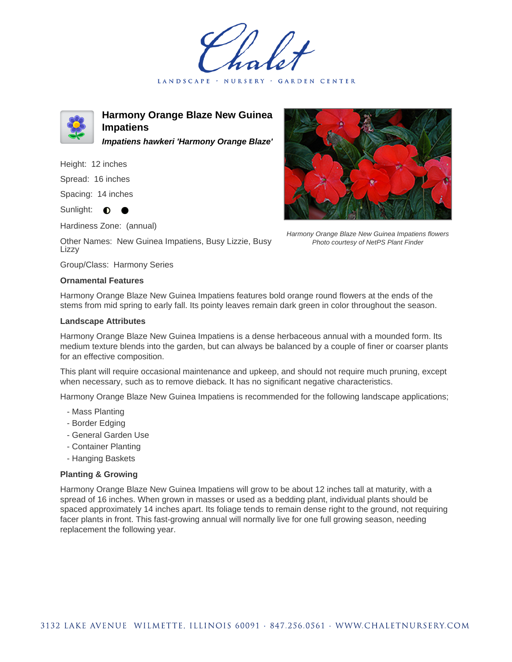LANDSCAPE · NURSERY · GARDEN CENTER



**Harmony Orange Blaze New Guinea Impatiens Impatiens hawkeri 'Harmony Orange Blaze'**

Height: 12 inches

Spread: 16 inches

Spacing: 14 inches

Sunlight: **O** 

Hardiness Zone: (annual)

Other Names: New Guinea Impatiens, Busy Lizzie, Busy Lizzy

Group/Class: Harmony Series

## **Ornamental Features**

Harmony Orange Blaze New Guinea Impatiens features bold orange round flowers at the ends of the stems from mid spring to early fall. Its pointy leaves remain dark green in color throughout the season.

## **Landscape Attributes**

Harmony Orange Blaze New Guinea Impatiens is a dense herbaceous annual with a mounded form. Its medium texture blends into the garden, but can always be balanced by a couple of finer or coarser plants for an effective composition.

This plant will require occasional maintenance and upkeep, and should not require much pruning, except when necessary, such as to remove dieback. It has no significant negative characteristics.

Harmony Orange Blaze New Guinea Impatiens is recommended for the following landscape applications;

- Mass Planting
- Border Edging
- General Garden Use
- Container Planting
- Hanging Baskets

## **Planting & Growing**

Harmony Orange Blaze New Guinea Impatiens will grow to be about 12 inches tall at maturity, with a spread of 16 inches. When grown in masses or used as a bedding plant, individual plants should be spaced approximately 14 inches apart. Its foliage tends to remain dense right to the ground, not requiring facer plants in front. This fast-growing annual will normally live for one full growing season, needing replacement the following year.



Harmony Orange Blaze New Guinea Impatiens flowers Photo courtesy of NetPS Plant Finder